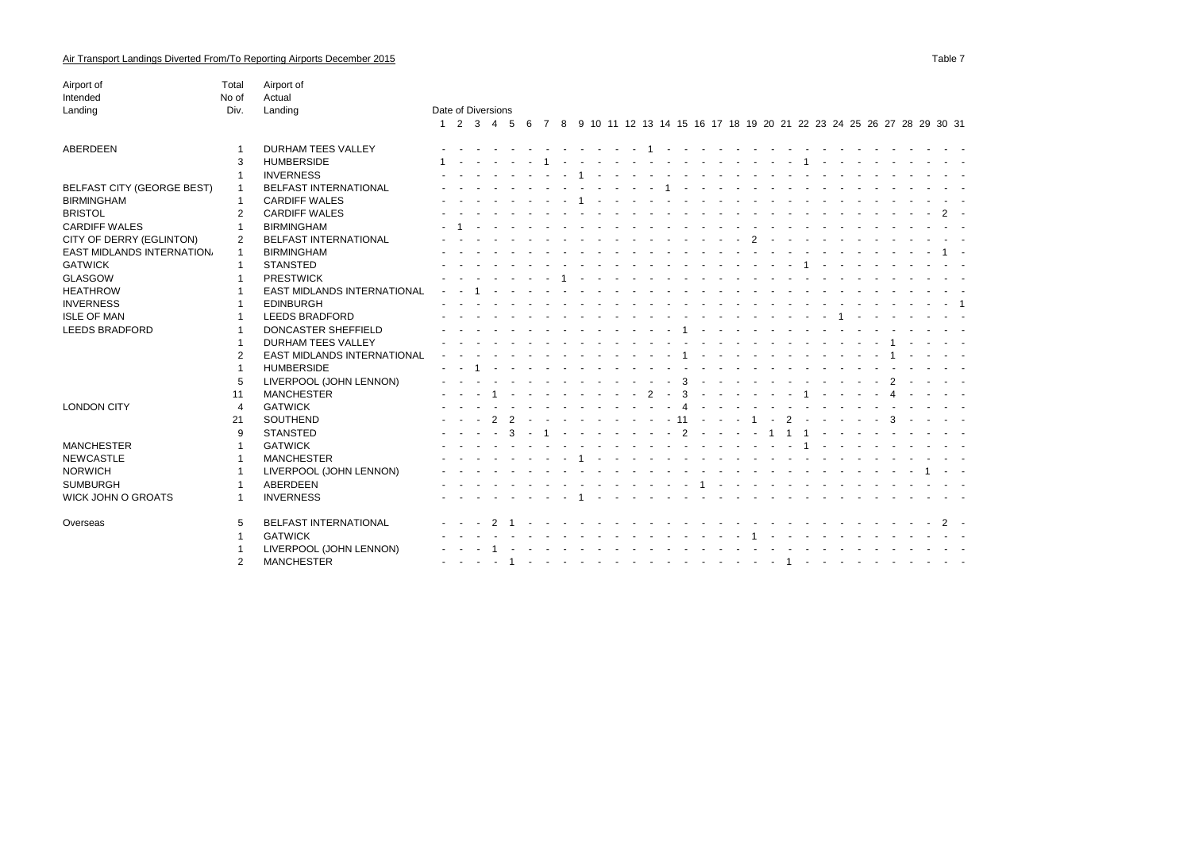| Airport of                        | Total          | Airport of                         |                    |  |             |  |  |  |                           |               |        |  |  |               |  |  |                                        |                                                                                     |       |  |
|-----------------------------------|----------------|------------------------------------|--------------------|--|-------------|--|--|--|---------------------------|---------------|--------|--|--|---------------|--|--|----------------------------------------|-------------------------------------------------------------------------------------|-------|--|
| Intended                          | No of          | Actual                             |                    |  |             |  |  |  |                           |               |        |  |  |               |  |  |                                        |                                                                                     |       |  |
| Landing                           | Div.           | Landing                            | Date of Diversions |  |             |  |  |  |                           |               |        |  |  |               |  |  |                                        |                                                                                     |       |  |
|                                   |                |                                    |                    |  |             |  |  |  |                           |               |        |  |  |               |  |  |                                        | 1 2 3 4 5 6 7 8 9 10 11 12 13 14 15 16 17 18 19 20 21 22 23 24 25 26 27 28 29 30 31 |       |  |
| ABERDEEN                          |                | <b>DURHAM TEES VALLEY</b>          |                    |  |             |  |  |  |                           |               |        |  |  |               |  |  |                                        |                                                                                     |       |  |
|                                   | 3              | <b>HUMBERSIDE</b>                  |                    |  |             |  |  |  |                           |               |        |  |  |               |  |  |                                        |                                                                                     |       |  |
|                                   | -1             | <b>INVERNESS</b>                   |                    |  |             |  |  |  |                           |               |        |  |  |               |  |  |                                        |                                                                                     |       |  |
| <b>BELFAST CITY (GEORGE BEST)</b> |                | <b>BELFAST INTERNATIONAL</b>       |                    |  |             |  |  |  |                           |               |        |  |  |               |  |  |                                        |                                                                                     |       |  |
| <b>BIRMINGHAM</b>                 | -1             | <b>CARDIFF WALES</b>               |                    |  |             |  |  |  |                           |               |        |  |  |               |  |  |                                        |                                                                                     |       |  |
| <b>BRISTOL</b>                    | $\overline{2}$ | <b>CARDIFF WALES</b>               |                    |  |             |  |  |  |                           |               |        |  |  |               |  |  |                                        |                                                                                     |       |  |
| <b>CARDIFF WALES</b>              |                | <b>BIRMINGHAM</b>                  |                    |  |             |  |  |  |                           |               |        |  |  |               |  |  |                                        |                                                                                     |       |  |
| CITY OF DERRY (EGLINTON)          | 2              | <b>BELFAST INTERNATIONAL</b>       |                    |  |             |  |  |  |                           |               |        |  |  |               |  |  |                                        |                                                                                     |       |  |
| EAST MIDLANDS INTERNATION.        |                | <b>BIRMINGHAM</b>                  |                    |  |             |  |  |  |                           |               |        |  |  |               |  |  |                                        |                                                                                     |       |  |
| <b>GATWICK</b>                    |                | <b>STANSTED</b>                    |                    |  |             |  |  |  |                           |               |        |  |  |               |  |  |                                        |                                                                                     |       |  |
| GLASGOW                           |                | <b>PRESTWICK</b>                   |                    |  |             |  |  |  |                           |               |        |  |  |               |  |  |                                        |                                                                                     |       |  |
| <b>HEATHROW</b>                   |                | <b>EAST MIDLANDS INTERNATIONAL</b> |                    |  |             |  |  |  |                           |               |        |  |  |               |  |  |                                        |                                                                                     |       |  |
| <b>INVERNESS</b>                  |                | <b>EDINBURGH</b>                   |                    |  |             |  |  |  |                           |               |        |  |  |               |  |  |                                        |                                                                                     |       |  |
| <b>ISLE OF MAN</b>                |                | <b>LEEDS BRADFORD</b>              |                    |  |             |  |  |  |                           |               |        |  |  |               |  |  |                                        |                                                                                     |       |  |
| <b>LEEDS BRADFORD</b>             | -1             | <b>DONCASTER SHEFFIELD</b>         |                    |  |             |  |  |  |                           |               |        |  |  |               |  |  |                                        |                                                                                     |       |  |
|                                   | -1             | <b>DURHAM TEES VALLEY</b>          |                    |  |             |  |  |  |                           |               |        |  |  |               |  |  |                                        |                                                                                     |       |  |
|                                   | 2              | <b>EAST MIDLANDS INTERNATIONAL</b> |                    |  |             |  |  |  |                           |               |        |  |  |               |  |  |                                        |                                                                                     |       |  |
|                                   | -1             | <b>HUMBERSIDE</b>                  |                    |  |             |  |  |  |                           |               |        |  |  |               |  |  |                                        |                                                                                     |       |  |
|                                   | 5              | LIVERPOOL (JOHN LENNON)            |                    |  |             |  |  |  |                           | $\mathcal{R}$ |        |  |  |               |  |  |                                        |                                                                                     |       |  |
|                                   | 11             | <b>MANCHESTER</b>                  |                    |  |             |  |  |  |                           | $\mathcal{R}$ |        |  |  |               |  |  |                                        |                                                                                     |       |  |
| <b>LONDON CITY</b>                | $\overline{4}$ | <b>GATWICK</b>                     |                    |  |             |  |  |  |                           |               |        |  |  |               |  |  |                                        |                                                                                     |       |  |
|                                   | 21             | <b>SOUTHEND</b>                    |                    |  |             |  |  |  |                           | 11            | $\sim$ |  |  | $\mathcal{P}$ |  |  | $\mathcal{R}$                          |                                                                                     |       |  |
|                                   | 9              | <b>STANSTED</b>                    |                    |  |             |  |  |  |                           |               |        |  |  |               |  |  |                                        |                                                                                     |       |  |
| <b>MANCHESTER</b>                 |                | <b>GATWICK</b>                     |                    |  |             |  |  |  |                           |               |        |  |  |               |  |  |                                        |                                                                                     |       |  |
| <b>NEWCASTLE</b>                  |                | <b>MANCHESTER</b>                  |                    |  |             |  |  |  |                           |               |        |  |  |               |  |  |                                        |                                                                                     |       |  |
| <b>NORWICH</b>                    |                | LIVERPOOL (JOHN LENNON)            |                    |  |             |  |  |  |                           |               |        |  |  |               |  |  |                                        |                                                                                     |       |  |
| <b>SUMBURGH</b>                   |                | ABERDEEN                           |                    |  |             |  |  |  |                           |               |        |  |  |               |  |  |                                        |                                                                                     |       |  |
| WICK JOHN O GROATS                |                | <b>INVERNESS</b>                   |                    |  |             |  |  |  |                           |               |        |  |  |               |  |  |                                        |                                                                                     |       |  |
|                                   |                |                                    |                    |  |             |  |  |  |                           |               |        |  |  |               |  |  |                                        |                                                                                     |       |  |
| Overseas                          | 5              | BELFAST INTERNATIONAL              |                    |  | $2 \quad 1$ |  |  |  | the state of the state of |               |        |  |  |               |  |  | the state of the state of the state of |                                                                                     | $2 -$ |  |
|                                   | $\mathbf 1$    | <b>GATWICK</b>                     |                    |  |             |  |  |  |                           |               |        |  |  |               |  |  |                                        |                                                                                     |       |  |
|                                   |                | LIVERPOOL (JOHN LENNON)            |                    |  |             |  |  |  |                           |               |        |  |  |               |  |  |                                        |                                                                                     |       |  |
|                                   | $\overline{2}$ | <b>MANCHESTER</b>                  |                    |  |             |  |  |  |                           |               |        |  |  |               |  |  |                                        |                                                                                     |       |  |